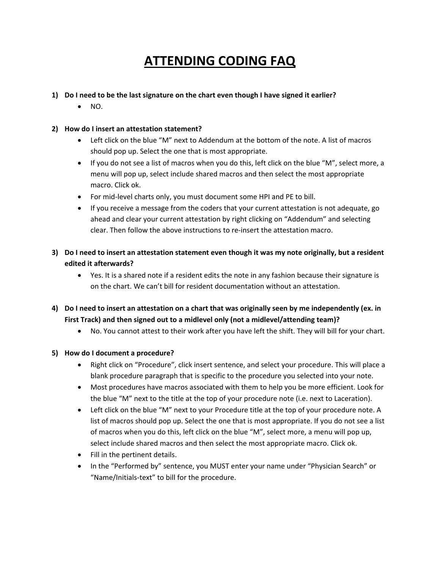# **ATTENDING CODING FAQ**

### **1) Do I need to be the last signature on the chart even though I have signed it earlier?**

• NO.

### **2) How do I insert an attestation statement?**

- Left click on the blue "M" next to Addendum at the bottom of the note. A list of macros should pop up. Select the one that is most appropriate.
- If you do not see a list of macros when you do this, left click on the blue "M", select more, a menu will pop up, select include shared macros and then select the most appropriate macro. Click ok.
- For mid‐level charts only, you must document some HPI and PE to bill.
- If you receive a message from the coders that your current attestation is not adequate, go ahead and clear your current attestation by right clicking on "Addendum" and selecting clear. Then follow the above instructions to re‐insert the attestation macro.
- 3) Do I need to insert an attestation statement even though it was my note originally, but a resident **edited it afterwards?**
	- Yes. It is a shared note if a resident edits the note in any fashion because their signature is on the chart. We can't bill for resident documentation without an attestation.
- 4) Do I need to insert an attestation on a chart that was originally seen by me independently (ex. in **First Track) and then signed out to a midlevel only (not a midlevel/attending team)?**
	- No. You cannot attest to their work after you have left the shift. They will bill for your chart.

#### **5) How do I document a procedure?**

- Right click on "Procedure", click insert sentence, and select your procedure. This will place a blank procedure paragraph that is specific to the procedure you selected into your note.
- Most procedures have macros associated with them to help you be more efficient. Look for the blue "M" next to the title at the top of your procedure note (i.e. next to Laceration).
- Left click on the blue "M" next to your Procedure title at the top of your procedure note. A list of macros should pop up. Select the one that is most appropriate. If you do not see a list of macros when you do this, left click on the blue "M", select more, a menu will pop up, select include shared macros and then select the most appropriate macro. Click ok.
- Fill in the pertinent details.
- In the "Performed by" sentence, you MUST enter your name under "Physician Search" or "Name/Initials‐text" to bill for the procedure.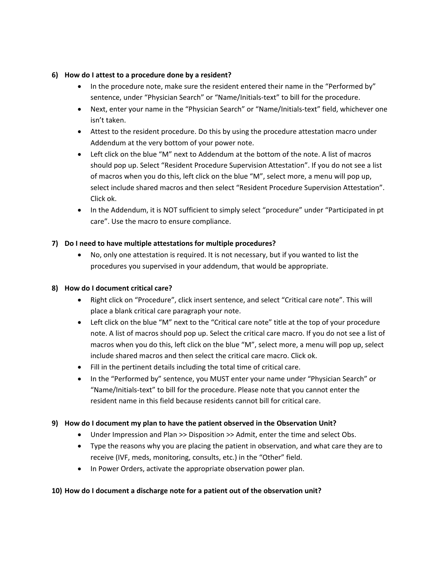#### **6) How do I attest to a procedure done by a resident?**

- In the procedure note, make sure the resident entered their name in the "Performed by" sentence, under "Physician Search" or "Name/Initials-text" to bill for the procedure.
- Next, enter your name in the "Physician Search" or "Name/Initials-text" field, whichever one isn't taken.
- Attest to the resident procedure. Do this by using the procedure attestation macro under Addendum at the very bottom of your power note.
- Left click on the blue "M" next to Addendum at the bottom of the note. A list of macros should pop up. Select "Resident Procedure Supervision Attestation". If you do not see a list of macros when you do this, left click on the blue "M", select more, a menu will pop up, select include shared macros and then select "Resident Procedure Supervision Attestation". Click ok.
- In the Addendum, it is NOT sufficient to simply select "procedure" under "Participated in pt care". Use the macro to ensure compliance.

#### **7) Do I need to have multiple attestations for multiple procedures?**

• No, only one attestation is required. It is not necessary, but if you wanted to list the procedures you supervised in your addendum, that would be appropriate.

#### **8) How do I document critical care?**

- Right click on "Procedure", click insert sentence, and select "Critical care note". This will place a blank critical care paragraph your note.
- Left click on the blue "M" next to the "Critical care note" title at the top of your procedure note. A list of macros should pop up. Select the critical care macro. If you do not see a list of macros when you do this, left click on the blue "M", select more, a menu will pop up, select include shared macros and then select the critical care macro. Click ok.
- Fill in the pertinent details including the total time of critical care.
- In the "Performed by" sentence, you MUST enter your name under "Physician Search" or "Name/Initials‐text" to bill for the procedure. Please note that you cannot enter the resident name in this field because residents cannot bill for critical care.

#### **9) How do I document my plan to have the patient observed in the Observation Unit?**

- Under Impression and Plan >> Disposition >> Admit, enter the time and select Obs.
- Type the reasons why you are placing the patient in observation, and what care they are to receive (IVF, meds, monitoring, consults, etc.) in the "Other" field.
- In Power Orders, activate the appropriate observation power plan.

#### **10) How do I document a discharge note for a patient out of the observation unit?**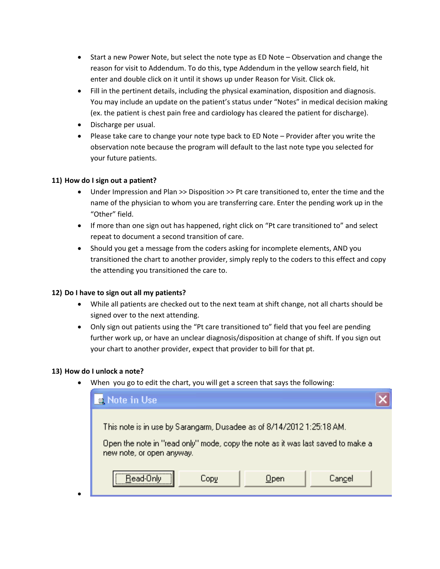- Start a new Power Note, but select the note type as ED Note Observation and change the reason for visit to Addendum. To do this, type Addendum in the yellow search field, hit enter and double click on it until it shows up under Reason for Visit. Click ok.
- Fill in the pertinent details, including the physical examination, disposition and diagnosis. You may include an update on the patient's status under "Notes" in medical decision making (ex. the patient is chest pain free and cardiology has cleared the patient for discharge).
- Discharge per usual.
- Please take care to change your note type back to ED Note Provider after you write the observation note because the program will default to the last note type you selected for your future patients.

#### **11) How do I sign out a patient?**

- Under Impression and Plan >> Disposition >> Pt care transitioned to, enter the time and the name of the physician to whom you are transferring care. Enter the pending work up in the "Other" field.
- If more than one sign out has happened, right click on "Pt care transitioned to" and select repeat to document a second transition of care.
- Should you get a message from the coders asking for incomplete elements, AND you transitioned the chart to another provider, simply reply to the coders to this effect and copy the attending you transitioned the care to.

#### **12) Do I have to sign out all my patients?**

- While all patients are checked out to the next team at shift change, not all charts should be signed over to the next attending.
- Only sign out patients using the "Pt care transitioned to" field that you feel are pending further work up, or have an unclear diagnosis/disposition at change of shift. If you sign out your chart to another provider, expect that provider to bill for that pt.

#### **13) How do I unlock a note?**

•

• When you go to edit the chart, you will get a screen that says the following:

| Note in Use                                                                                                  |  |
|--------------------------------------------------------------------------------------------------------------|--|
| This note is in use by Sarangarm, Dusadee as of 8/14/2012 1:25:18 AM.                                        |  |
| Open the note in "read only" mode, copy the note as it was last saved to make a<br>new note, or open anyway. |  |
| <br>Cancel<br>Open<br>Copy                                                                                   |  |